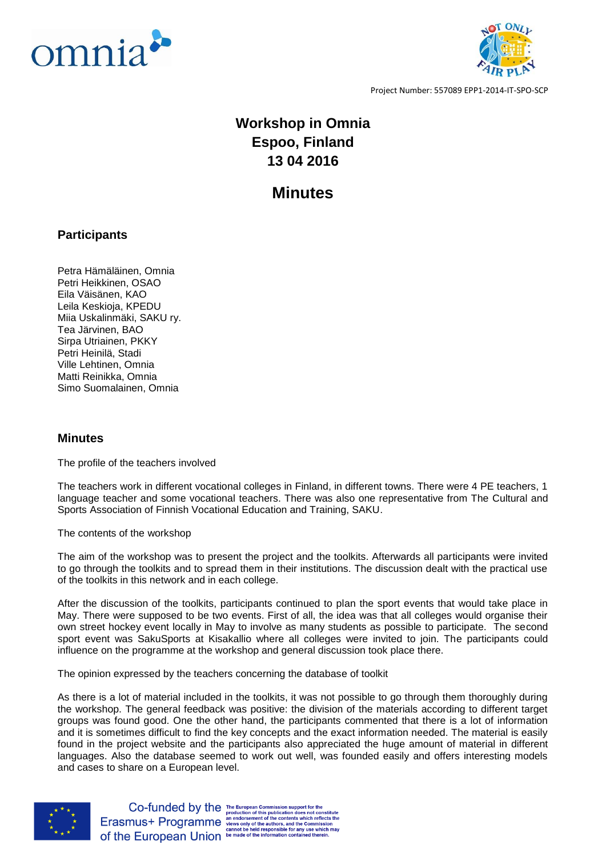



Project Number: 557089 EPP1-2014-IT-SPO-SCP

## **Workshop in Omnia Espoo, Finland 13 04 2016**

## **Minutes**

## **Participants**

Petra Hämäläinen, Omnia Petri Heikkinen, OSAO Eila Väisänen, KAO Leila Keskioja, KPEDU Miia Uskalinmäki, SAKU ry. Tea Järvinen, BAO Sirpa Utriainen, PKKY Petri Heinilä, Stadi Ville Lehtinen, Omnia Matti Reinikka, Omnia Simo Suomalainen, Omnia

## **Minutes**

The profile of the teachers involved

The teachers work in different vocational colleges in Finland, in different towns. There were 4 PE teachers, 1 language teacher and some vocational teachers. There was also one representative from The Cultural and Sports Association of Finnish Vocational Education and Training, SAKU.

The contents of the workshop

The aim of the workshop was to present the project and the toolkits. Afterwards all participants were invited to go through the toolkits and to spread them in their institutions. The discussion dealt with the practical use of the toolkits in this network and in each college.

After the discussion of the toolkits, participants continued to plan the sport events that would take place in May. There were supposed to be two events. First of all, the idea was that all colleges would organise their own street hockey event locally in May to involve as many students as possible to participate. The second sport event was SakuSports at Kisakallio where all colleges were invited to join. The participants could influence on the programme at the workshop and general discussion took place there.

The opinion expressed by the teachers concerning the database of toolkit

As there is a lot of material included in the toolkits, it was not possible to go through them thoroughly during the workshop. The general feedback was positive: the division of the materials according to different target groups was found good. One the other hand, the participants commented that there is a lot of information and it is sometimes difficult to find the key concepts and the exact information needed. The material is easily found in the project website and the participants also appreciated the huge amount of material in different languages. Also the database seemed to work out well, was founded easily and offers interesting models and cases to share on a European level.